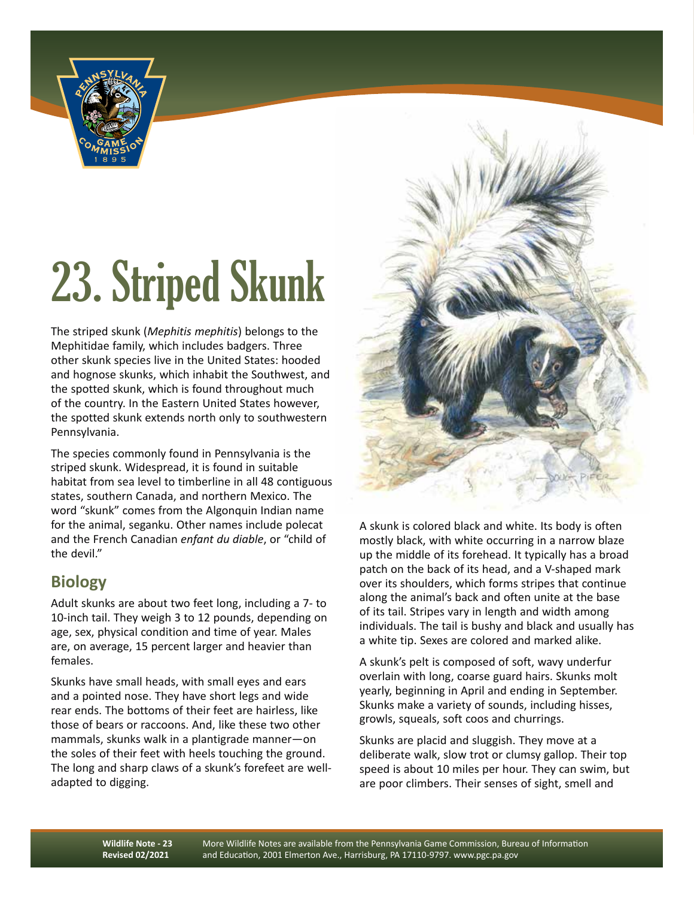

## 23. Striped Skunk

The striped skunk (*Mephitis mephitis*) belongs to the Mephitidae family, which includes badgers. Three other skunk species live in the United States: hooded and hognose skunks, which inhabit the Southwest, and the spotted skunk, which is found throughout much of the country. In the Eastern United States however, the spotted skunk extends north only to southwestern Pennsylvania.

The species commonly found in Pennsylvania is the striped skunk. Widespread, it is found in suitable habitat from sea level to timberline in all 48 contiguous states, southern Canada, and northern Mexico. The word "skunk" comes from the Algonquin Indian name for the animal, seganku. Other names include polecat and the French Canadian *enfant du diable*, or "child of the devil."

## **Biology**

Adult skunks are about two feet long, including a 7- to 10-inch tail. They weigh 3 to 12 pounds, depending on age, sex, physical condition and time of year. Males are, on average, 15 percent larger and heavier than females.

Skunks have small heads, with small eyes and ears and a pointed nose. They have short legs and wide rear ends. The bottoms of their feet are hairless, like those of bears or raccoons. And, like these two other mammals, skunks walk in a plantigrade manner—on the soles of their feet with heels touching the ground. The long and sharp claws of a skunk's forefeet are welladapted to digging.



A skunk is colored black and white. Its body is often mostly black, with white occurring in a narrow blaze up the middle of its forehead. It typically has a broad patch on the back of its head, and a V-shaped mark over its shoulders, which forms stripes that continue along the animal's back and often unite at the base of its tail. Stripes vary in length and width among individuals. The tail is bushy and black and usually has a white tip. Sexes are colored and marked alike.

A skunk's pelt is composed of soft, wavy underfur overlain with long, coarse guard hairs. Skunks molt yearly, beginning in April and ending in September. Skunks make a variety of sounds, including hisses, growls, squeals, soft coos and churrings.

Skunks are placid and sluggish. They move at a deliberate walk, slow trot or clumsy gallop. Their top speed is about 10 miles per hour. They can swim, but are poor climbers. Their senses of sight, smell and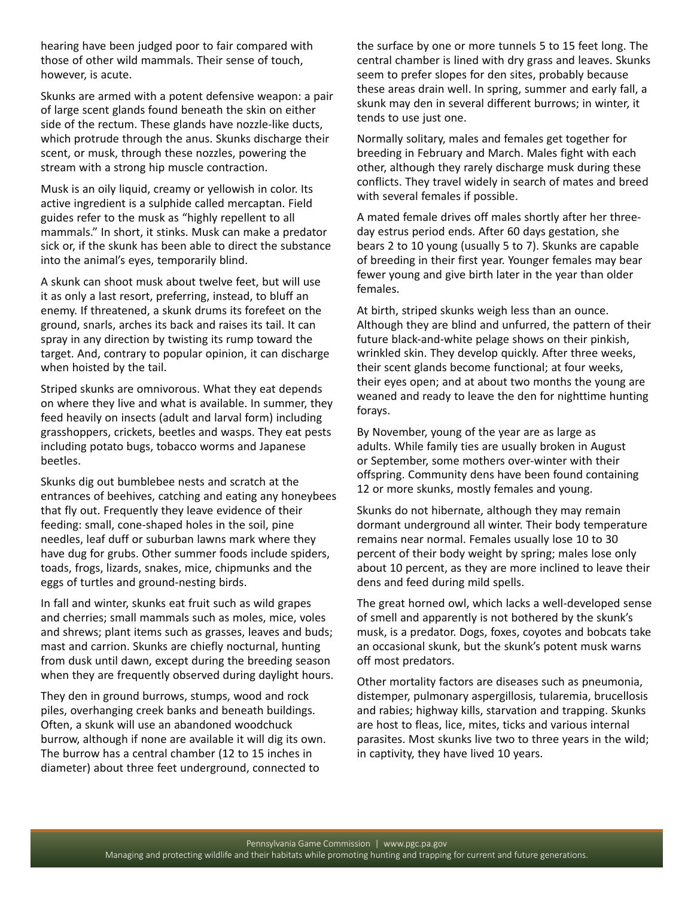hearing have been judged poor to fair compared with those of other wild mammals. Their sense of touch, however, is acute.

Skunks are armed with a potent defensive weapon: a pair of large scent glands found beneath the skin on either side of the rectum. These glands have nozzle-like ducts, which protrude through the anus. Skunks discharge their scent, or musk, through these nozzles, powering the stream with a strong hip muscle contraction.

Musk is an oily liquid, creamy or yellowish in color. Its active ingredient is a sulphide called mercaptan. Field guides refer to the musk as "highly repellent to all mammals." In short, it stinks. Musk can make a predator sick or, if the skunk has been able to direct the substance into the animal's eyes, temporarily blind.

A skunk can shoot musk about twelve feet, but will use it as only a last resort, preferring, instead, to bluff an enemy. If threatened, a skunk drums its forefeet on the ground, snarls, arches its back and raises its tail. It can spray in any direction by twisting its rump toward the target. And, contrary to popular opinion, it can discharge when hoisted by the tail.

Striped skunks are omnivorous. What they eat depends on where they live and what is available. In summer, they feed heavily on insects (adult and larval form) including grasshoppers, crickets, beetles and wasps. They eat pests including potato bugs, tobacco worms and Japanese beetles.

Skunks dig out bumblebee nests and scratch at the entrances of beehives, catching and eating any honeybees that fly out. Frequently they leave evidence of their feeding: small, cone-shaped holes in the soil, pine needles, leaf duff or suburban lawns mark where they have dug for grubs. Other summer foods include spiders, toads, frogs, lizards, snakes, mice, chipmunks and the eggs of turtles and ground-nesting birds.

In fall and winter, skunks eat fruit such as wild grapes and cherries; small mammals such as moles, mice, voles and shrews; plant items such as grasses, leaves and buds; mast and carrion. Skunks are chiefly nocturnal, hunting from dusk until dawn, except during the breeding season when they are frequently observed during daylight hours.

They den in ground burrows, stumps, wood and rock piles, overhanging creek banks and beneath buildings. Often, a skunk will use an abandoned woodchuck burrow, although if none are available it will dig its own. The burrow has a central chamber (12 to 15 inches in diameter) about three feet underground, connected to

the surface by one or more tunnels 5 to 15 feet long. The central chamber is lined with dry grass and leaves. Skunks seem to prefer slopes for den sites, probably because these areas drain well. In spring, summer and early fall, a skunk may den in several different burrows; in winter, it tends to use just one.

Normally solitary, males and females get together for breeding in February and March. Males fight with each other, although they rarely discharge musk during these conflicts. They travel widely in search of mates and breed with several females if possible.

A mated female drives off males shortly after her threeday estrus period ends. After 60 days gestation, she bears 2 to 10 young (usually 5 to 7). Skunks are capable of breeding in their first year. Younger females may bear fewer young and give birth later in the year than older females.

At birth, striped skunks weigh less than an ounce. Although they are blind and unfurred, the pattern of their future black-and-white pelage shows on their pinkish, wrinkled skin. They develop quickly. After three weeks, their scent glands become functional; at four weeks, their eyes open; and at about two months the young are weaned and ready to leave the den for nighttime hunting forays.

By November, young of the year are as large as adults. While family ties are usually broken in August or September, some mothers over-winter with their offspring. Community dens have been found containing 12 or more skunks, mostly females and young.

Skunks do not hibernate, although they may remain dormant underground all winter. Their body temperature remains near normal. Females usually lose 10 to 30 percent of their body weight by spring; males lose only about 10 percent, as they are more inclined to leave their dens and feed during mild spells.

The great horned owl, which lacks a well-developed sense of smell and apparently is not bothered by the skunk's musk, is a predator. Dogs, foxes, coyotes and bobcats take an occasional skunk, but the skunk's potent musk warns off most predators.

Other mortality factors are diseases such as pneumonia, distemper, pulmonary aspergillosis, tularemia, brucellosis and rabies; highway kills, starvation and trapping. Skunks are host to fleas, lice, mites, ticks and various internal parasites. Most skunks live two to three years in the wild; in captivity, they have lived 10 years.